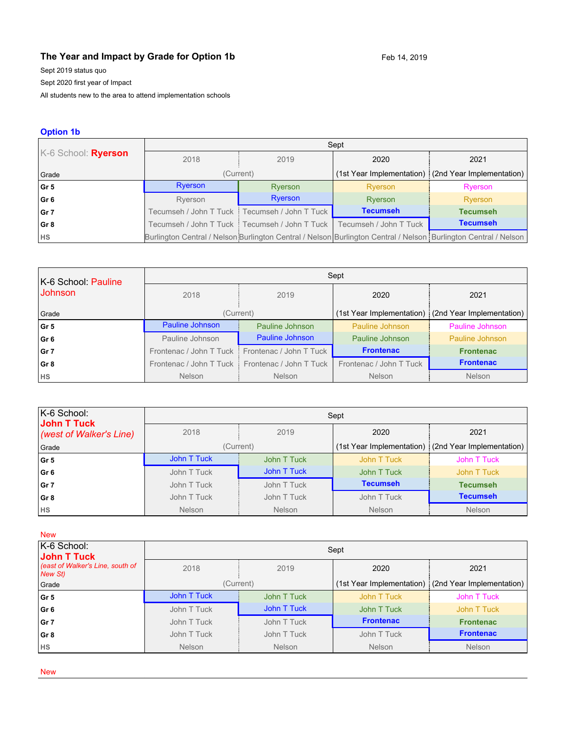# **The Year and Impact by Grade for Option 1b** Feb 14, 2019

Sept 2019 status quo

Sept 2020 first year of Impact

All students new to the area to attend implementation schools

#### **Option 1b**

|                     | Sept                 |                                                                            |                 |                                                                                                                 |  |
|---------------------|----------------------|----------------------------------------------------------------------------|-----------------|-----------------------------------------------------------------------------------------------------------------|--|
| K-6 School: Ryerson | 2018<br>2020<br>2019 |                                                                            | 2021            |                                                                                                                 |  |
| Grade               |                      | (Current)                                                                  |                 | (1st Year Implementation) (2nd Year Implementation)                                                             |  |
| Gr5                 | Ryerson              | Ryerson                                                                    | Ryerson         | Ryerson                                                                                                         |  |
| Gr 6                | Ryerson              | Ryerson                                                                    | Ryerson         | Ryerson                                                                                                         |  |
| Gr 7                |                      | Tecumseh / John T Tuck : Tecumseh / John T Tuck                            | <b>Tecumseh</b> | <b>Tecumseh</b>                                                                                                 |  |
| Gr 8                |                      | Tecumseh / John T Tuck ┋ Tecumseh / John T Tuck ㅣ Tecumseh / John T Tuck . |                 | <b>Tecumseh</b>                                                                                                 |  |
| <b>HS</b>           |                      |                                                                            |                 | Burlington Central / Nelson Burlington Central / Nelson Burlington Central / Nelson Burlington Central / Nelson |  |

| K-6 School: Pauline | Sept                                               |                                                   |                         |                                                       |  |
|---------------------|----------------------------------------------------|---------------------------------------------------|-------------------------|-------------------------------------------------------|--|
| <b>Johnson</b>      | 2018                                               | 2019                                              | 2020                    | 2021                                                  |  |
| Grade               |                                                    | (Current)                                         |                         | (1st Year Implementation)   (2nd Year Implementation) |  |
| l Gr 5              | <b>Pauline Johnson</b>                             | Pauline Johnson                                   | Pauline Johnson         | Pauline Johnson                                       |  |
| Gr 6                | Pauline Johnson                                    | Pauline Johnson                                   | Pauline Johnson         | Pauline Johnson                                       |  |
| l Gr 7              | Frontenac / John T Tuck<br>Frontenac / John T Tuck |                                                   | <b>Frontenac</b>        | <b>Frontenac</b>                                      |  |
| Gr 8                |                                                    | Frontenac / John T Tuck   Frontenac / John T Tuck | Frontenac / John T Tuck | <b>Frontenac</b>                                      |  |
| <b>HS</b>           | <b>Nelson</b>                                      | <b>Nelson</b>                                     | <b>Nelson</b>           | <b>Nelson</b>                                         |  |

| K-6 School:<br>John T Tuck | Sept        |               |                 |                                                     |  |
|----------------------------|-------------|---------------|-----------------|-----------------------------------------------------|--|
| (west of Walker's Line)    | 2018        | 2019          | 2020            | 2021                                                |  |
| Grade                      |             | (Current)     |                 | (1st Year Implementation) (2nd Year Implementation) |  |
| Gr 5                       | John T Tuck | John T Tuck   | John T Tuck     | John T Tuck                                         |  |
| Gr 6                       | John T Tuck | John T Tuck   | John T Tuck     | John T Tuck                                         |  |
| Gr 7                       | John T Tuck | John T Tuck   | <b>Tecumseh</b> | <b>Tecumseh</b>                                     |  |
| Gr 8                       | John T Tuck | John T Tuck   | John T Tuck     | <b>Tecumseh</b>                                     |  |
| <b>HS</b>                  | Nelson      | <b>Nelson</b> | Nelson          | <b>Nelson</b>                                       |  |

| <b>New</b>                                         |                            |               |                  |                                                     |
|----------------------------------------------------|----------------------------|---------------|------------------|-----------------------------------------------------|
| K-6 School:<br>John T Tuck                         |                            |               | Sept             |                                                     |
| (east of Walker's Line, south of<br><b>New St)</b> | 2018                       | 2019          | 2020             | 2021                                                |
| Grade                                              |                            | (Current)     |                  | (1st Year Implementation) (2nd Year Implementation) |
| Gr 5                                               | John T Tuck                | John T Tuck   | John T Tuck      | John T Tuck                                         |
| Gr 6                                               | John T Tuck                | John T Tuck   | John T Tuck      | John T Tuck                                         |
| Gr 7                                               | John T Tuck<br>John T Tuck |               | <b>Frontenac</b> | <b>Frontenac</b>                                    |
| Gr 8                                               | John T Tuck                | John T Tuck   | John T Tuck      | <b>Frontenac</b>                                    |
| <b>HS</b>                                          | <b>Nelson</b>              | <b>Nelson</b> | Nelson           | <b>Nelson</b>                                       |

New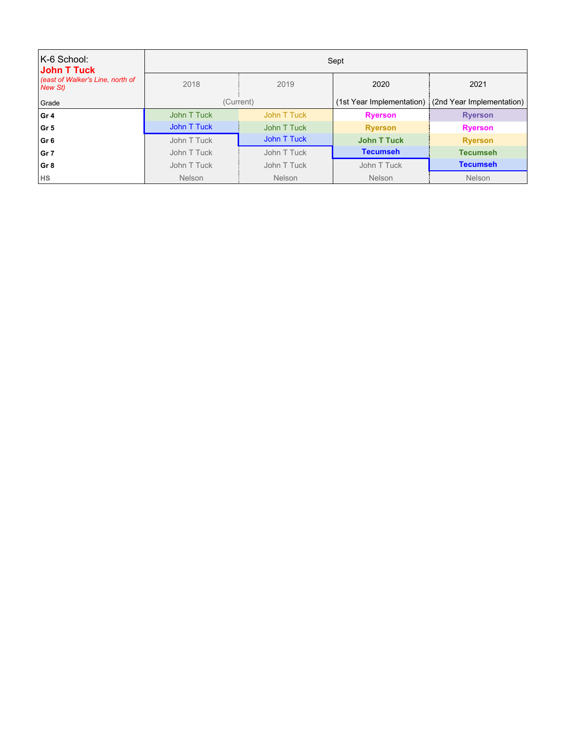| K-6 School:<br>John T Tuck                 | Sept        |               |                    |                                                     |
|--------------------------------------------|-------------|---------------|--------------------|-----------------------------------------------------|
| east of Walker's Line, north of<br>New St) | 2018        | 2019          | 2020               | 2021                                                |
| Grade                                      |             | (Current)     |                    | (1st Year Implementation) (2nd Year Implementation) |
| Gr 4                                       | John T Tuck | John T Tuck   | <b>Ryerson</b>     | <b>Ryerson</b>                                      |
| Gr 5                                       | John T Tuck | John T Tuck   | <b>Ryerson</b>     | <b>Ryerson</b>                                      |
| Gr 6                                       | John T Tuck | John T Tuck   | <b>John T Tuck</b> | <b>Ryerson</b>                                      |
| Gr 7                                       | John T Tuck | John T Tuck   | <b>Tecumseh</b>    | <b>Tecumseh</b>                                     |
| Gr 8                                       | John T Tuck | John T Tuck   | John T Tuck        | <b>Tecumseh</b>                                     |
| <b>HS</b>                                  | Nelson      | <b>Nelson</b> | <b>Nelson</b>      | Nelson                                              |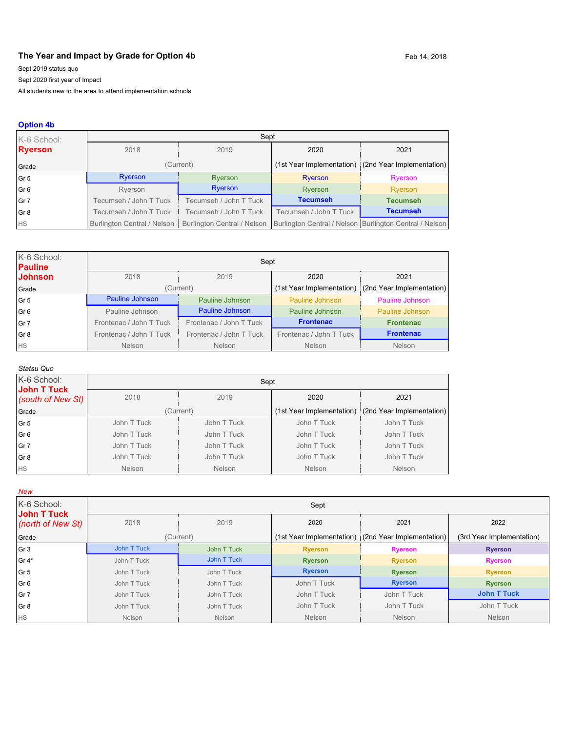## The Year and Impact by Grade for Option 4b **Feb 14, 2018** Feb 14, 2018

Sept 2019 status quo

Sept 2020 first year of Impact

All students new to the area to attend implementation schools

#### **Option 4b**

| K-6 School:              | Sept                          |                                    |                        |                                                         |  |
|--------------------------|-------------------------------|------------------------------------|------------------------|---------------------------------------------------------|--|
| <b>Ryerson</b>           | 2018                          | 2019                               | 2020                   | 2021                                                    |  |
| Grade                    | (Current)                     |                                    |                        | (1st Year Implementation) (2nd Year Implementation)     |  |
| Gr5                      | Ryerson                       | Ryerson                            | Ryerson                | Ryerson                                                 |  |
| $\overline{\text{Gr }6}$ | Ryerson                       | Ryerson                            | Ryerson                | Ryerson                                                 |  |
| $\vert$ Gr 7             | Tecumseh / John T Tuck        | Tecumseh / John T Tuck             | <b>Tecumseh</b>        | <b>Tecumseh</b>                                         |  |
| Gr 8                     | Tecumseh / John T Tuck        | Tecumseh / John T Tuck             | Tecumseh / John T Tuck | <b>Tecumseh</b>                                         |  |
| <b>HS</b>                | Burlington Central / Nelson i | <b>Burlington Central / Nelson</b> |                        | Burlington Central / Nelson Burlington Central / Nelson |  |

| K-6 School:<br><b>Pauline</b> | Sept                    |                         |                         |                                                     |  |  |
|-------------------------------|-------------------------|-------------------------|-------------------------|-----------------------------------------------------|--|--|
| <b>Johnson</b>                | 2018                    | 2019<br>2020<br>2021    |                         |                                                     |  |  |
| Grade                         |                         | (Current)               |                         | (1st Year Implementation) (2nd Year Implementation) |  |  |
| l Gr 5                        | Pauline Johnson         | Pauline Johnson         | Pauline Johnson         | Pauline Johnson                                     |  |  |
| l Gr 6                        | Pauline Johnson         | Pauline Johnson         | Pauline Johnson         | Pauline Johnson                                     |  |  |
| Gr 7                          | Frontenac / John T Tuck | Frontenac / John T Tuck | <b>Frontenac</b>        | <b>Frontenac</b>                                    |  |  |
| Gr 8                          | Frontenac / John T Tuck | Frontenac / John T Tuck | Frontenac / John T Tuck | <b>Frontenac</b>                                    |  |  |
| <b>HS</b>                     | <b>Nelson</b>           | <b>Nelson</b>           | Nelson                  | <b>Nelson</b>                                       |  |  |

#### *Statsu Quo*

| K-6 School:<br>John T Tuck | Sept          |               |               |                                                       |
|----------------------------|---------------|---------------|---------------|-------------------------------------------------------|
| (south of New St)          | 2018          | 2019          | 2020          | 2021                                                  |
| Grade                      | (Current)     |               |               | (1st Year Implementation) : (2nd Year Implementation) |
| Gr <sub>5</sub>            | John T Tuck   | John T Tuck   | John T Tuck   | John T Tuck                                           |
| Gr <sub>6</sub>            | John T Tuck   | John T Tuck   | John T Tuck   | John T Tuck                                           |
| Gr 7                       | John T Tuck   | John T Tuck   | John T Tuck   | John T Tuck                                           |
| Gr 8                       | John T Tuck   | John T Tuck   | John T Tuck   | John T Tuck                                           |
| <b>HS</b>                  | <b>Nelson</b> | <b>Nelson</b> | <b>Nelson</b> | <b>Nelson</b>                                         |

*New*

| K-6 School:<br>John T Tuck | Sept        |             |                           |                           |                           |
|----------------------------|-------------|-------------|---------------------------|---------------------------|---------------------------|
| (north of New St)          | 2018        | 2019        | 2020                      | 2021                      | 2022                      |
| Grade                      |             | (Current)   | (1st Year Implementation) | (2nd Year Implementation) | (3rd Year Implementation) |
| Gr 3                       | John T Tuck | John T Tuck | <b>Ryerson</b>            | <b>Ryerson</b>            | <b>Ryerson</b>            |
| $ Gr 4*$                   | John T Tuck | John T Tuck | <b>Ryerson</b>            | <b>Ryerson</b>            | <b>Ryerson</b>            |
| Gr 5                       | John T Tuck | John T Tuck | <b>Ryerson</b>            | <b>Ryerson</b>            | <b>Ryerson</b>            |
| Gr <sub>6</sub>            | John T Tuck | John T Tuck | John T Tuck               | <b>Ryerson</b>            | <b>Ryerson</b>            |
| Gr 7                       | John T Tuck | John T Tuck | John T Tuck               | John T Tuck               | <b>John T Tuck</b>        |
| Gr 8                       | John T Tuck | John T Tuck | John T Tuck               | John T Tuck               | John T Tuck               |
| <b>HS</b>                  | Nelson      | Nelson      | <b>Nelson</b>             | <b>Nelson</b>             | <b>Nelson</b>             |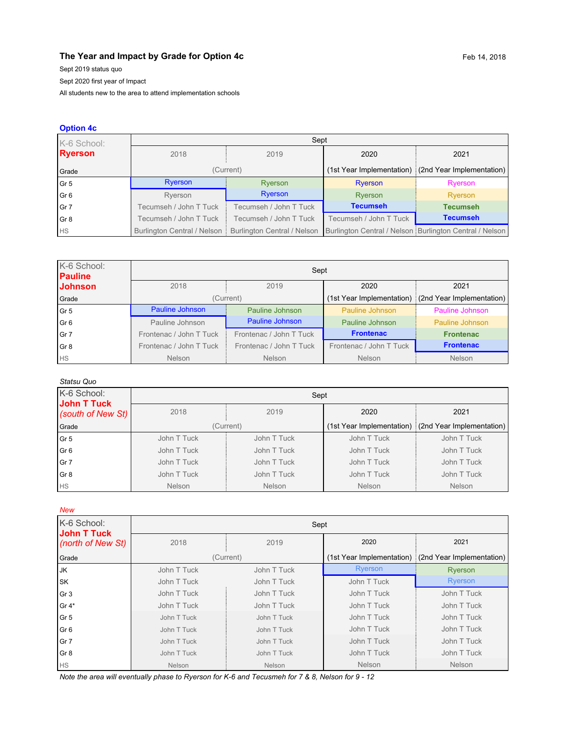## **The Year and Impact by Grade for Option 4c** Feb 14, 2018

Sept 2019 status quo

Sept 2020 first year of Impact

All students new to the area to attend implementation schools

### **Option 4c**

| K-6 School:     | Sept                        |                             |                        |                                                         |  |
|-----------------|-----------------------------|-----------------------------|------------------------|---------------------------------------------------------|--|
| <b>Ryerson</b>  | 2018                        | 2019                        | 2020                   | 2021                                                    |  |
| Grade           |                             | (Current)                   |                        | (1st Year Implementation) (2nd Year Implementation)     |  |
| Gr <sub>5</sub> | Ryerson                     | Ryerson                     | <b>Ryerson</b>         | Ryerson                                                 |  |
| Gr <sub>6</sub> | Ryerson                     | Ryerson                     | Ryerson                | Ryerson                                                 |  |
| Gr 7            | Tecumseh / John T Tuck      | Tecumseh / John T Tuck      | <b>Tecumseh</b>        | <b>Tecumseh</b>                                         |  |
| Gr <sub>8</sub> | Tecumseh / John T Tuck      | Tecumseh / John T Tuck      | Tecumseh / John T Tuck | <b>Tecumseh</b>                                         |  |
| <b>HS</b>       | Burlington Central / Nelson | Burlington Central / Nelson |                        | Burlington Central / Nelson Burlington Central / Nelson |  |

| K-6 School:<br><b>Pauline</b> | Sept                    |                         |                         |                                                       |  |
|-------------------------------|-------------------------|-------------------------|-------------------------|-------------------------------------------------------|--|
| <b>Johnson</b>                | 2018                    | 2019                    | 2020                    | 2021                                                  |  |
| Grade                         |                         | (Current)               |                         | (1st Year Implementation) : (2nd Year Implementation) |  |
| Gr <sub>5</sub>               | Pauline Johnson         | Pauline Johnson         | Pauline Johnson         | Pauline Johnson                                       |  |
| Gr <sub>6</sub>               | Pauline Johnson         | Pauline Johnson         | Pauline Johnson         | Pauline Johnson                                       |  |
| Gr 7                          | Frontenac / John T Tuck | Frontenac / John T Tuck | <b>Frontenac</b>        | <b>Frontenac</b>                                      |  |
| Gr <sub>8</sub>               | Frontenac / John T Tuck | Frontenac / John T Tuck | Frontenac / John T Tuck | <b>Frontenac</b>                                      |  |
| <b>HS</b>                     | <b>Nelson</b>           | <b>Nelson</b>           | <b>Nelson</b>           | <b>Nelson</b>                                         |  |

| Statsu Quo                        |                              |               |               |                                                     |  |
|-----------------------------------|------------------------------|---------------|---------------|-----------------------------------------------------|--|
| K-6 School:<br><b>John T Tuck</b> | Sept                         |               |               |                                                     |  |
| (south of New St)                 | 2018<br>2019<br>2020<br>2021 |               |               |                                                     |  |
| Grade                             |                              | (Current)     |               | (1st Year Implementation) (2nd Year Implementation) |  |
| Gr <sub>5</sub>                   | John T Tuck                  | John T Tuck   | John T Tuck   | John T Tuck                                         |  |
| Gr <sub>6</sub>                   | John T Tuck                  | John T Tuck   | John T Tuck   | John T Tuck                                         |  |
| Gr 7                              | John T Tuck                  | John T Tuck   | John T Tuck   | John T Tuck                                         |  |
| Gr <sub>8</sub>                   | John T Tuck                  | John T Tuck   | John T Tuck   | John T Tuck                                         |  |
| <b>HS</b>                         | <b>Nelson</b>                | <b>Nelson</b> | <b>Nelson</b> | <b>Nelson</b>                                       |  |

*New*

| K-6 School:<br><b>John T Tuck</b> | Sept          |               |             |                                                       |  |
|-----------------------------------|---------------|---------------|-------------|-------------------------------------------------------|--|
| (north of New St)                 | 2018          | 2019          | 2020        | 2021                                                  |  |
| Grade                             |               | (Current)     |             | (1st Year Implementation) : (2nd Year Implementation) |  |
| JK                                | John T Tuck   | John T Tuck   | Ryerson     | Ryerson                                               |  |
| <b>SK</b>                         | John T Tuck   | John T Tuck   | John T Tuck | <b>Ryerson</b>                                        |  |
| Gr <sub>3</sub>                   | John T Tuck   | John T Tuck   | John T Tuck | John T Tuck                                           |  |
| Gr $4*$                           | John T Tuck   | John T Tuck   | John T Tuck | John T Tuck                                           |  |
| Gr <sub>5</sub>                   | John T Tuck   | John T Tuck   | John T Tuck | John T Tuck                                           |  |
| Gr <sub>6</sub>                   | John T Tuck   | John T Tuck   | John T Tuck | John T Tuck                                           |  |
| Gr 7                              | John T Tuck   | John T Tuck   | John T Tuck | John T Tuck                                           |  |
| Gr <sub>8</sub>                   | John T Tuck   | John T Tuck   | John T Tuck | John T Tuck                                           |  |
| <b>HS</b>                         | <b>Nelson</b> | <b>Nelson</b> | Nelson      | Nelson                                                |  |

*Note the area will eventually phase to Ryerson for K-6 and Tecusmeh for 7 & 8, Nelson for 9 - 12*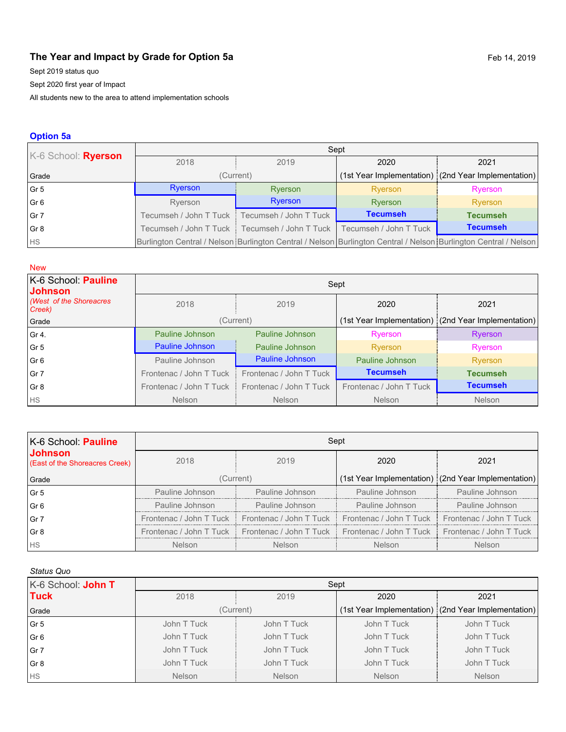# **The Year and Impact by Grade for Option 5a** Feb 14, 2019

Sept 2019 status quo

Sept 2020 first year of Impact

All students new to the area to attend implementation schools

## **Option 5a**

| K-6 School: Ryerson | Sept                                                                                                            |                                                 |                        |                                                     |  |  |
|---------------------|-----------------------------------------------------------------------------------------------------------------|-------------------------------------------------|------------------------|-----------------------------------------------------|--|--|
|                     | 2018                                                                                                            | 2019                                            | 2020                   | 2021                                                |  |  |
| Grade               |                                                                                                                 | (Current)                                       |                        | (1st Year Implementation) (2nd Year Implementation) |  |  |
| Gr 5                | Ryerson                                                                                                         | Ryerson                                         | Ryerson                | Ryerson                                             |  |  |
| Gr <sub>6</sub>     | Ryerson                                                                                                         | Ryerson                                         | Ryerson                | Ryerson                                             |  |  |
| Gr 7                |                                                                                                                 | Tecumseh / John T Tuck   Tecumseh / John T Tuck | <b>Tecumseh</b>        | <b>Tecumseh</b>                                     |  |  |
| Gr <sub>8</sub>     |                                                                                                                 | Tecumseh / John T Tuck   Tecumseh / John T Tuck | Tecumseh / John T Tuck | <b>Tecumseh</b>                                     |  |  |
| <b>HS</b>           | Burlington Central / Nelson Burlington Central / Nelson Burlington Central / Nelson Burlington Central / Nelson |                                                 |                        |                                                     |  |  |

| <b>New</b>                            |                                                    |                        |                         |                                                     |  |
|---------------------------------------|----------------------------------------------------|------------------------|-------------------------|-----------------------------------------------------|--|
| K-6 School: Pauline<br><b>Johnson</b> | Sept                                               |                        |                         |                                                     |  |
| (West of the Shoreacres<br>Creek)     | 2018                                               | 2019                   | 2020                    | 2021                                                |  |
| Grade                                 |                                                    | (Current)              |                         | (1st Year Implementation) (2nd Year Implementation) |  |
| Gr 4.                                 | Pauline Johnson                                    | Pauline Johnson        | Ryerson                 | Ryerson                                             |  |
| Gr <sub>5</sub>                       | <b>Pauline Johnson</b>                             | Pauline Johnson        | Ryerson                 | Ryerson                                             |  |
| Gr <sub>6</sub>                       | Pauline Johnson                                    | <b>Pauline Johnson</b> | Pauline Johnson         | Ryerson                                             |  |
| Gr <sub>7</sub>                       | Frontenac / John T Tuck<br>Frontenac / John T Tuck |                        | <b>Tecumseh</b>         | <b>Tecumseh</b>                                     |  |
| Gr <sub>8</sub>                       | Frontenac / John T Tuck<br>Frontenac / John T Tuck |                        | Frontenac / John T Tuck | <b>Tecumseh</b>                                     |  |
| <b>HS</b>                             | <b>Nelson</b>                                      | <b>Nelson</b>          | <b>Nelson</b>           | <b>Nelson</b>                                       |  |

| K-6 School: Pauline                              | Sept            |                                                                                                       |                 |                                                     |  |  |
|--------------------------------------------------|-----------------|-------------------------------------------------------------------------------------------------------|-----------------|-----------------------------------------------------|--|--|
| <b>Johnson</b><br>(East of the Shoreacres Creek) | 2018            | 2019                                                                                                  | 2020            | 2021                                                |  |  |
| Grade                                            | (Current)       |                                                                                                       |                 | (1st Year Implementation) (2nd Year Implementation) |  |  |
| Gr <sub>5</sub>                                  | Pauline Johnson | Pauline Johnson                                                                                       | Pauline Johnson | Pauline Johnson                                     |  |  |
| Gr <sub>6</sub>                                  | Pauline Johnson | Pauline Johnson                                                                                       | Pauline Johnson | Pauline Johnson                                     |  |  |
| Gr 7                                             |                 | Frontenac / John T Tuck   Frontenac / John T Tuck   Frontenac / John T Tuck   Frontenac / John T Tuck |                 |                                                     |  |  |
| Gr <sub>8</sub>                                  |                 | Frontenac / John T Tuck   Frontenac / John T Tuck   Frontenac / John T Tuck   Frontenac / John T Tuck |                 |                                                     |  |  |
| <b>HS</b>                                        | <b>Nelson</b>   | <b>Nelson</b>                                                                                         | <b>Nelson</b>   | <b>Nelson</b>                                       |  |  |

#### *Status Quo*

| K-6 School: John T | Sept          |               |               |                                                     |  |
|--------------------|---------------|---------------|---------------|-----------------------------------------------------|--|
| <b>Tuck</b>        | 2018          | 2019          | 2020          | 2021                                                |  |
| Grade              | (Current)     |               |               | (1st Year Implementation) (2nd Year Implementation) |  |
| Gr <sub>5</sub>    | John T Tuck   | John T Tuck   | John T Tuck   | John T Tuck                                         |  |
| Gr6                | John T Tuck   | John T Tuck   | John T Tuck   | John T Tuck                                         |  |
| Gr 7               | John T Tuck   | John T Tuck   | John T Tuck   | John T Tuck                                         |  |
| Gr <sub>8</sub>    | John T Tuck   | John T Tuck   | John T Tuck   | John T Tuck                                         |  |
| <b>HS</b>          | <b>Nelson</b> | <b>Nelson</b> | <b>Nelson</b> | <b>Nelson</b>                                       |  |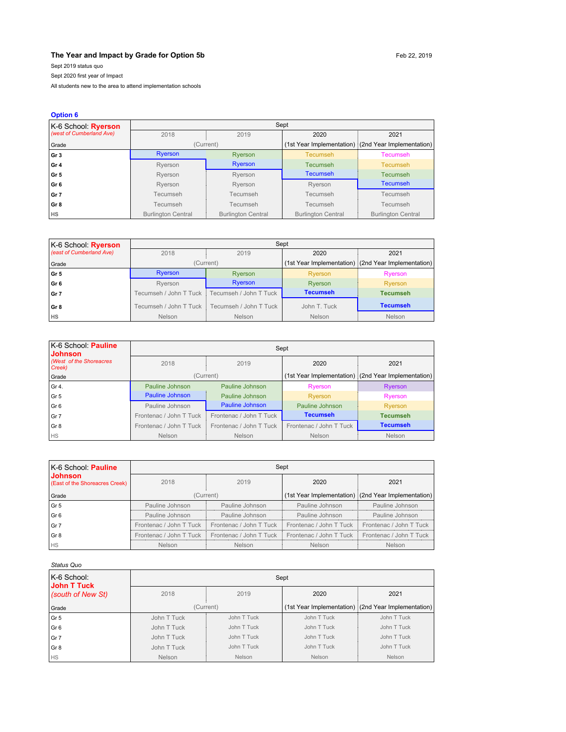#### **The Year and Impact by Grade for Option 5b** Feb 22, 2019

Sept 2019 status quo

Sept 2020 first year of Impact

All students new to the area to attend implementation schools

| <b>Option 6</b>          |                           |                           |                           |                                                       |
|--------------------------|---------------------------|---------------------------|---------------------------|-------------------------------------------------------|
| K-6 School: Ryerson      |                           |                           | Sept                      |                                                       |
| (west of Cumberland Ave) | 2018                      | 2019                      | 2020                      | 2021                                                  |
| Grade                    |                           | (Current)                 |                           | (1st Year Implementation) : (2nd Year Implementation) |
| Gr <sub>3</sub>          | <b>Ryerson</b>            | Ryerson                   | <b>Tecumseh</b>           | Tecumseh                                              |
| Gr <sub>4</sub>          | Ryerson                   | Ryerson                   | Tecumseh                  | <b>Tecumseh</b>                                       |
| Gr <sub>5</sub>          | Ryerson                   | Ryerson                   |                           | <b>Tecumseh</b>                                       |
| Gr <sub>6</sub>          | Ryerson                   | Ryerson                   |                           | <b>Tecumseh</b>                                       |
| Gr 7                     | Tecumseh                  | Tecumseh                  | Tecumseh                  | Tecumseh                                              |
| Gr <sub>8</sub>          | Tecumseh                  | Tecumseh                  | Tecumseh                  | Tecumseh                                              |
| <b>HS</b>                | <b>Burlington Central</b> | <b>Burlington Central</b> | <b>Burlington Central</b> | <b>Burlington Central</b>                             |

| $K-6$ School: <b>Ryerson</b> | Sept                                               |                        |                 |                                                     |  |
|------------------------------|----------------------------------------------------|------------------------|-----------------|-----------------------------------------------------|--|
| (east of Cumberland Ave)     | 2018                                               | 2019                   | 2020            | 2021                                                |  |
| Grade                        |                                                    | (Current)              |                 | (1st Year Implementation) (2nd Year Implementation) |  |
| l Gr 5                       | <b>Ryerson</b>                                     | Ryerson                | Ryerson         | Ryerson                                             |  |
| ∣Gr 6                        | Ryerson                                            | <b>Ryerson</b>         | Ryerson         | Ryerson                                             |  |
| l Gr 7                       | Tecumseh / John T Tuck<br>Tecumseh / John T Tuck ! |                        | <b>Tecumseh</b> | <b>Tecumseh</b>                                     |  |
| ∣Gr8                         | Tecumseh / John T Tuck i                           | Tecumseh / John T Tuck | John T. Tuck    | <b>Tecumseh</b>                                     |  |
| Ìнs                          | Nelson                                             | Nelson                 | Nelson          | <b>Nelson</b>                                       |  |

| K-6 School: Pauline<br><b>Johnson</b> | Sept                                               |                 |                         |                                                     |  |  |
|---------------------------------------|----------------------------------------------------|-----------------|-------------------------|-----------------------------------------------------|--|--|
| (West of the Shoreacres<br>Creek)     | 2018<br>2019                                       |                 | 2020                    | 2021                                                |  |  |
| Grade                                 |                                                    | (Current)       |                         | (1st Year Implementation) (2nd Year Implementation) |  |  |
| l Gr 4.                               | Pauline Johnson                                    | Pauline Johnson | Ryerson                 | Ryerson                                             |  |  |
| l Gr 5                                | Pauline Johnson                                    | Pauline Johnson | Ryerson                 | Ryerson                                             |  |  |
| l Gr 6                                | Pauline Johnson                                    | Pauline Johnson | Pauline Johnson         | Ryerson                                             |  |  |
| l Gr 7                                | Frontenac / John T Tuck<br>Frontenac / John T Tuck |                 | <b>Tecumseh</b>         | <b>Tecumseh</b>                                     |  |  |
| l Gr 8                                | Frontenac / John T Tuck<br>Frontenac / John T Tuck |                 | Frontenac / John T Tuck | <b>Tecumseh</b>                                     |  |  |
| <b>HS</b>                             | Nelson                                             | Nelson          | Nelson                  | Nelson                                              |  |  |

| IK-6 School: Pauline                             | Sept            |                                                                                                       |                 |                                                     |  |
|--------------------------------------------------|-----------------|-------------------------------------------------------------------------------------------------------|-----------------|-----------------------------------------------------|--|
| <b>Johnson</b><br>(East of the Shoreacres Creek) | 2018            | 2019                                                                                                  | 2020            | 2021                                                |  |
| Grade                                            |                 | (Current)                                                                                             |                 | (1st Year Implementation) (2nd Year Implementation) |  |
| Gr 5                                             | Pauline Johnson | Pauline Johnson                                                                                       | Pauline Johnson | Pauline Johnson                                     |  |
| l Gr 6                                           | Pauline Johnson | Pauline Johnson                                                                                       | Pauline Johnson | Pauline Johnson                                     |  |
| l Gr 7                                           |                 | Frontenac / John T Tuck   Frontenac / John T Tuck   Frontenac / John T Tuck   Frontenac / John T Tuck |                 |                                                     |  |
| l Gr 8                                           |                 | Frontenac / John T Tuck   Frontenac / John T Tuck   Frontenac / John T Tuck   Frontenac / John T Tuck |                 |                                                     |  |
| <b>I</b> HS                                      | <b>Nelson</b>   | Nelson                                                                                                | Nelson          | Nelson                                              |  |

#### *Status Quo*

| K-6 School:<br>John T Tuck | Sept          |             |             |                                                     |  |
|----------------------------|---------------|-------------|-------------|-----------------------------------------------------|--|
| (south of New St)          | 2018<br>2019  |             | 2020        | 2021                                                |  |
| Grade                      |               | (Current)   |             | (1st Year Implementation) (2nd Year Implementation) |  |
| Gr <sub>5</sub>            | John T Tuck   | John T Tuck | John T Tuck | John T Tuck                                         |  |
| Gr <sub>6</sub>            | John T Tuck   | John T Tuck | John T Tuck | John T Tuck                                         |  |
| Gr 7                       | John T Tuck   | John T Tuck | John T Tuck | John T Tuck                                         |  |
| Gr 8                       | John T Tuck   | John T Tuck | John T Tuck | John T Tuck                                         |  |
| <b>HS</b>                  | <b>Nelson</b> | Nelson      | Nelson      | Nelson                                              |  |